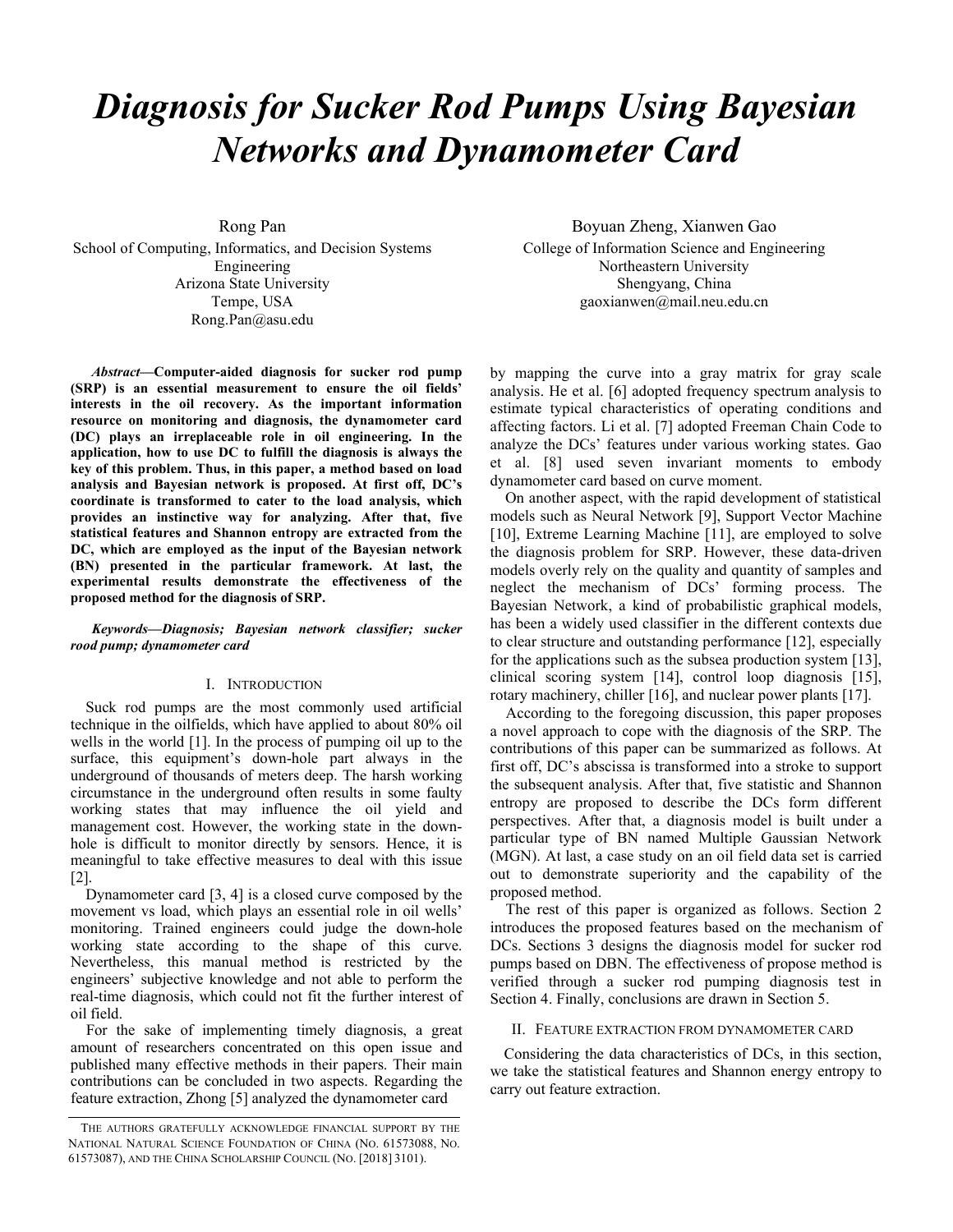# *Diagnosis for Sucker Rod Pumps Using Bayesian Networks and Dynamometer Card*

Rong Pan School of Computing, Informatics, and Decision Systems Engineering Arizona State University Tempe, USA Rong.Pan@asu.edu

*Abstract***—Computer-aided diagnosis for sucker rod pump (SRP) is an essential measurement to ensure the oil fields' interests in the oil recovery. As the important information resource on monitoring and diagnosis, the dynamometer card (DC) plays an irreplaceable role in oil engineering. In the application, how to use DC to fulfill the diagnosis is always the key of this problem. Thus, in this paper, a method based on load analysis and Bayesian network is proposed. At first off, DC's coordinate is transformed to cater to the load analysis, which provides an instinctive way for analyzing. After that, five statistical features and Shannon entropy are extracted from the DC, which are employed as the input of the Bayesian network (BN) presented in the particular framework. At last, the experimental results demonstrate the effectiveness of the proposed method for the diagnosis of SRP.** 

*Keywords—Diagnosis; Bayesian network classifier; sucker rood pump; dynamometer card*

# I. INTRODUCTION

Suck rod pumps are the most commonly used artificial technique in the oilfields, which have applied to about 80% oil wells in the world [1]. In the process of pumping oil up to the surface, this equipment's down-hole part always in the underground of thousands of meters deep. The harsh working circumstance in the underground often results in some faulty working states that may influence the oil yield and management cost. However, the working state in the downhole is difficult to monitor directly by sensors. Hence, it is meaningful to take effective measures to deal with this issue [2].

Dynamometer card [3, 4] is a closed curve composed by the movement vs load, which plays an essential role in oil wells' monitoring. Trained engineers could judge the down-hole working state according to the shape of this curve. Nevertheless, this manual method is restricted by the engineers' subjective knowledge and not able to perform the real-time diagnosis, which could not fit the further interest of oil field.

 For the sake of implementing timely diagnosis, a great amount of researchers concentrated on this open issue and published many effective methods in their papers. Their main contributions can be concluded in two aspects. Regarding the feature extraction, Zhong [5] analyzed the dynamometer card

Boyuan Zheng, Xianwen Gao College of Information Science and Engineering Northeastern University Shengyang, China gaoxianwen@mail.neu.edu.cn

by mapping the curve into a gray matrix for gray scale analysis. He et al. [6] adopted frequency spectrum analysis to estimate typical characteristics of operating conditions and affecting factors. Li et al. [7] adopted Freeman Chain Code to analyze the DCs' features under various working states. Gao et al. [8] used seven invariant moments to embody dynamometer card based on curve moment.

On another aspect, with the rapid development of statistical models such as Neural Network [9], Support Vector Machine [10], Extreme Learning Machine [11], are employed to solve the diagnosis problem for SRP. However, these data-driven models overly rely on the quality and quantity of samples and neglect the mechanism of DCs' forming process. The Bayesian Network, a kind of probabilistic graphical models, has been a widely used classifier in the different contexts due to clear structure and outstanding performance [12], especially for the applications such as the subsea production system [13], clinical scoring system [14], control loop diagnosis [15], rotary machinery, chiller [16], and nuclear power plants [17].

 According to the foregoing discussion, this paper proposes a novel approach to cope with the diagnosis of the SRP. The contributions of this paper can be summarized as follows. At first off, DC's abscissa is transformed into a stroke to support the subsequent analysis. After that, five statistic and Shannon entropy are proposed to describe the DCs form different perspectives. After that, a diagnosis model is built under a particular type of BN named Multiple Gaussian Network (MGN). At last, a case study on an oil field data set is carried out to demonstrate superiority and the capability of the proposed method.

 The rest of this paper is organized as follows. Section 2 introduces the proposed features based on the mechanism of DCs. Sections 3 designs the diagnosis model for sucker rod pumps based on DBN. The effectiveness of propose method is verified through a sucker rod pumping diagnosis test in Section 4. Finally, conclusions are drawn in Section 5.

#### II. FEATURE EXTRACTION FROM DYNAMOMETER CARD

Considering the data characteristics of DCs, in this section, we take the statistical features and Shannon energy entropy to carry out feature extraction.

THE AUTHORS GRATEFULLY ACKNOWLEDGE FINANCIAL SUPPORT BY THE NATIONAL NATURAL SCIENCE FOUNDATION OF CHINA (NO. 61573088, NO. 61573087), AND THE CHINA SCHOLARSHIP COUNCIL (NO. [2018] 3101).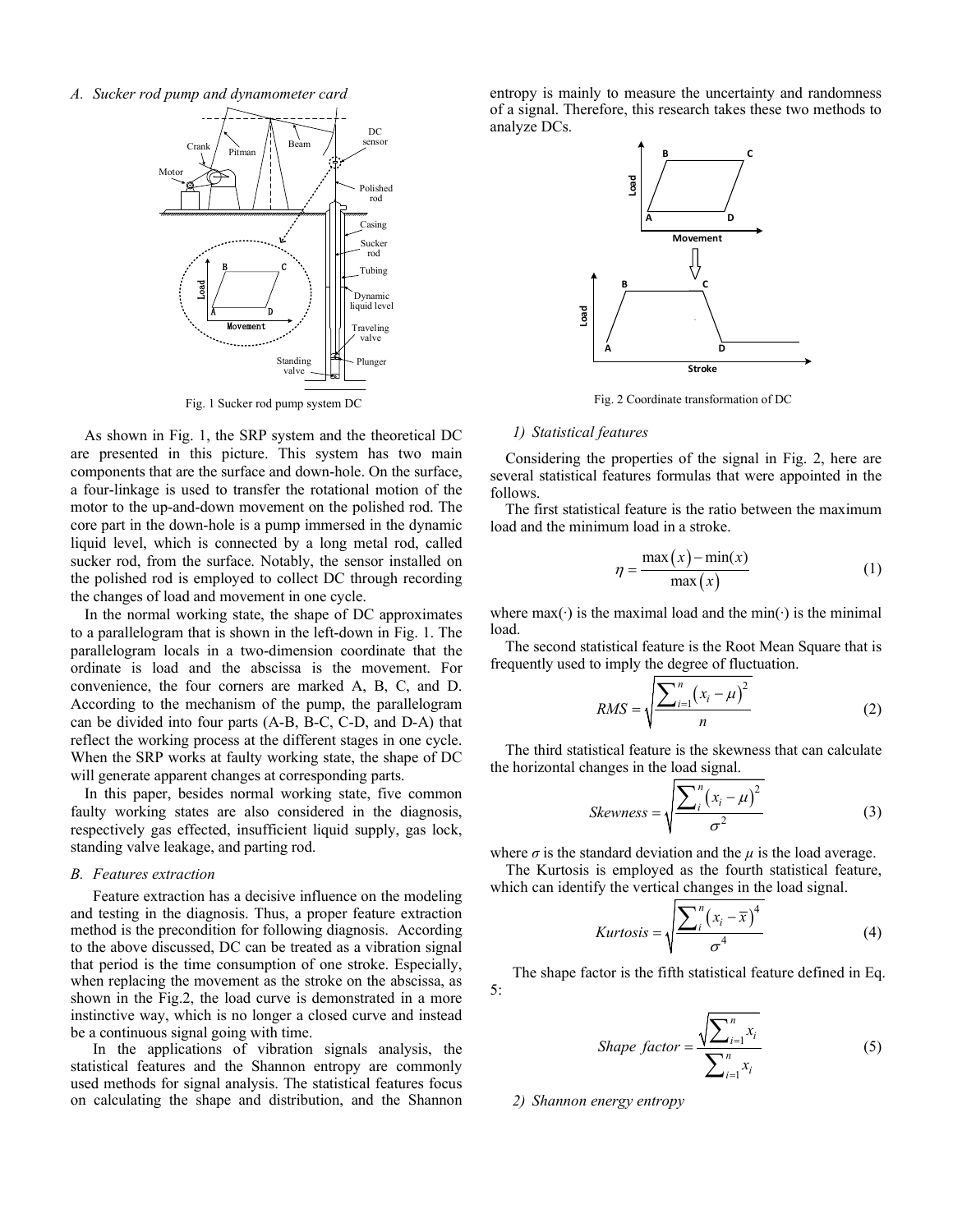*A. Sucker rod pump and dynamometer card*



Fig. 1 Sucker rod pump system DC

As shown in Fig. 1, the SRP system and the theoretical DC are presented in this picture. This system has two main components that are the surface and down-hole. On the surface, a four-linkage is used to transfer the rotational motion of the motor to the up-and-down movement on the polished rod. The core part in the down-hole is a pump immersed in the dynamic liquid level, which is connected by a long metal rod, called sucker rod, from the surface. Notably, the sensor installed on the polished rod is employed to collect DC through recording the changes of load and movement in one cycle.

In the normal working state, the shape of DC approximates to a parallelogram that is shown in the left-down in Fig. 1. The parallelogram locals in a two-dimension coordinate that the ordinate is load and the abscissa is the movement. For convenience, the four corners are marked A, B, C, and D. According to the mechanism of the pump, the parallelogram can be divided into four parts (A-B, B-C, C-D, and D-A) that reflect the working process at the different stages in one cycle. When the SRP works at faulty working state, the shape of DC will generate apparent changes at corresponding parts.

In this paper, besides normal working state, five common faulty working states are also considered in the diagnosis, respectively gas effected, insufficient liquid supply, gas lock, standing valve leakage, and parting rod.

# *B. Features extraction*

Feature extraction has a decisive influence on the modeling and testing in the diagnosis. Thus, a proper feature extraction method is the precondition for following diagnosis. According to the above discussed, DC can be treated as a vibration signal that period is the time consumption of one stroke. Especially, when replacing the movement as the stroke on the abscissa, as shown in the Fig.2, the load curve is demonstrated in a more instinctive way, which is no longer a closed curve and instead be a continuous signal going with time.

In the applications of vibration signals analysis, the statistical features and the Shannon entropy are commonly used methods for signal analysis. The statistical features focus on calculating the shape and distribution, and the Shannon entropy is mainly to measure the uncertainty and randomness of a signal. Therefore, this research takes these two methods to analyze DCs.



Fig. 2 Coordinate transformation of DC

## *1) Statistical features*

 Considering the properties of the signal in Fig. 2, here are several statistical features formulas that were appointed in the follows.

 The first statistical feature is the ratio between the maximum load and the minimum load in a stroke.

$$
\eta = \frac{\max(x) - \min(x)}{\max(x)}\tag{1}
$$

where max( $\cdot$ ) is the maximal load and the min( $\cdot$ ) is the minimal load.

 The second statistical feature is the Root Mean Square that is frequently used to imply the degree of fluctuation.

$$
RMS = \sqrt{\frac{\sum_{i=1}^{n} (x_i - \mu)^2}{n}}
$$
 (2)

 The third statistical feature is the skewness that can calculate the horizontal changes in the load signal.

$$
Skewness = \sqrt{\frac{\sum_{i}^{n}(x_i - \mu)^2}{\sigma^2}}
$$
 (3)

where  $\sigma$  is the standard deviation and the  $\mu$  is the load average. The Kurtosis is employed as the fourth statistical feature,

which can identify the vertical changes in the load signal.

$$
Kurtosis = \sqrt{\frac{\sum_{i}^{n} (x_i - \overline{x})^4}{\sigma^4}}
$$
(4)

The shape factor is the fifth statistical feature defined in Eq. 5:

$$
Shape factor = \frac{\sqrt{\sum_{i=1}^{n} x_i}}{\sum_{i=1}^{n} x_i}
$$
\n(5)

*2) Shannon energy entropy*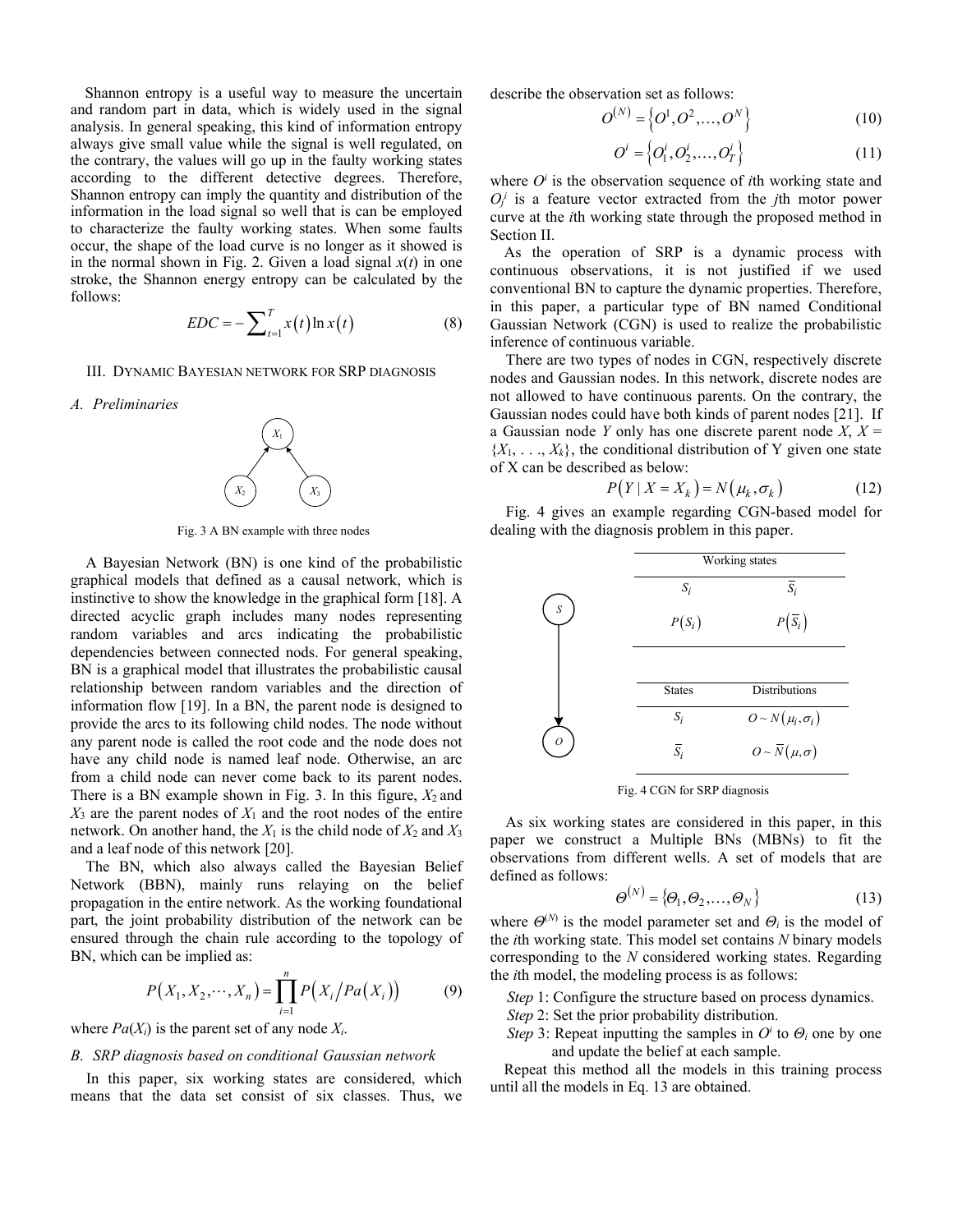Shannon entropy is a useful way to measure the uncertain and random part in data, which is widely used in the signal analysis. In general speaking, this kind of information entropy always give small value while the signal is well regulated, on the contrary, the values will go up in the faulty working states according to the different detective degrees. Therefore, Shannon entropy can imply the quantity and distribution of the information in the load signal so well that is can be employed to characterize the faulty working states. When some faults occur, the shape of the load curve is no longer as it showed is in the normal shown in Fig. 2. Given a load signal  $x(t)$  in one stroke, the Shannon energy entropy can be calculated by the follows:

$$
EDC = -\sum_{t=1}^{T} x(t) \ln x(t) \tag{8}
$$

III. DYNAMIC BAYESIAN NETWORK FOR SRP DIAGNOSIS

*A. Preliminaries*



Fig. 3 A BN example with three nodes

A Bayesian Network (BN) is one kind of the probabilistic graphical models that defined as a causal network, which is instinctive to show the knowledge in the graphical form [18]. A directed acyclic graph includes many nodes representing random variables and arcs indicating the probabilistic dependencies between connected nods. For general speaking, BN is a graphical model that illustrates the probabilistic causal relationship between random variables and the direction of information flow [19]. In a BN, the parent node is designed to provide the arcs to its following child nodes. The node without any parent node is called the root code and the node does not have any child node is named leaf node. Otherwise, an arc from a child node can never come back to its parent nodes. There is a BN example shown in Fig. 3. In this figure,  $X_2$  and  $X_3$  are the parent nodes of  $X_1$  and the root nodes of the entire network. On another hand, the  $X_1$  is the child node of  $X_2$  and  $X_3$ and a leaf node of this network [20].

The BN, which also always called the Bayesian Belief Network (BBN), mainly runs relaying on the belief propagation in the entire network. As the working foundational part, the joint probability distribution of the network can be ensured through the chain rule according to the topology of BN, which can be implied as:

$$
P(X_1, X_2, \cdots, X_n) = \prod_{i=1}^n P(X_i / Pa(X_i))
$$
 (9)

where  $Pa(X_i)$  is the parent set of any node  $X_i$ .

# *B. SRP diagnosis based on conditional Gaussian network*

In this paper, six working states are considered, which means that the data set consist of six classes. Thus, we describe the observation set as follows:

$$
O^{(N)} = \left\{O^1, O^2, \dots, O^N\right\}
$$
 (10)

$$
O^i = \left\{O_1^i, O_2^i, \dots, O_T^i\right\}
$$
 (11)

where  $O<sup>i</sup>$  is the observation sequence of *i*th working state and  $O_j^i$  is a feature vector extracted from the *j*th motor power curve at the *i*th working state through the proposed method in Section II.

As the operation of SRP is a dynamic process with continuous observations, it is not justified if we used conventional BN to capture the dynamic properties. Therefore, in this paper, a particular type of BN named Conditional Gaussian Network (CGN) is used to realize the probabilistic inference of continuous variable.

 There are two types of nodes in CGN, respectively discrete nodes and Gaussian nodes. In this network, discrete nodes are not allowed to have continuous parents. On the contrary, the Gaussian nodes could have both kinds of parent nodes [21]. If a Gaussian node *Y* only has one discrete parent node *X*,  $X =$  ${X_1, \ldots, X_k}$ , the conditional distribution of Y given one state of X can be described as below:

$$
P(Y | X = X_k) = N(\mu_k, \sigma_k)
$$
 (12)

 Fig. 4 gives an example regarding CGN-based model for dealing with the diagnosis problem in this paper.

|            | Working states   |                                    |  |  |
|------------|------------------|------------------------------------|--|--|
|            | $S_i$            | $\overline{S}_i$                   |  |  |
| ${\cal S}$ | $P(S_i)$         | $P(\overline{S}_i)$                |  |  |
|            | <b>States</b>    | <b>Distributions</b>               |  |  |
|            | $S_i$            | $O \sim N(\mu_i, \sigma_i)$        |  |  |
| Ω          | $\overline{S}_i$ | $O \sim \overline{N}(\mu, \sigma)$ |  |  |

Fig. 4 CGN for SRP diagnosis

As six working states are considered in this paper, in this paper we construct a Multiple BNs (MBNs) to fit the observations from different wells. A set of models that are defined as follows:

$$
\boldsymbol{\Theta}^{(N)} = {\boldsymbol{\Theta}_1, \boldsymbol{\Theta}_2, ..., \boldsymbol{\Theta}_N}
$$
 (13)

where  $\Theta^{(N)}$  is the model parameter set and  $\Theta_i$  is the model of the *i*th working state. This model set contains *N* binary models corresponding to the *N* considered working states. Regarding the *i*th model, the modeling process is as follows:

*Step* 1: Configure the structure based on process dynamics. *Step* 2: Set the prior probability distribution.

*Step* 3: Repeat inputting the samples in  $O^i$  to  $O_i$  one by one and update the belief at each sample.

Repeat this method all the models in this training process until all the models in Eq. 13 are obtained.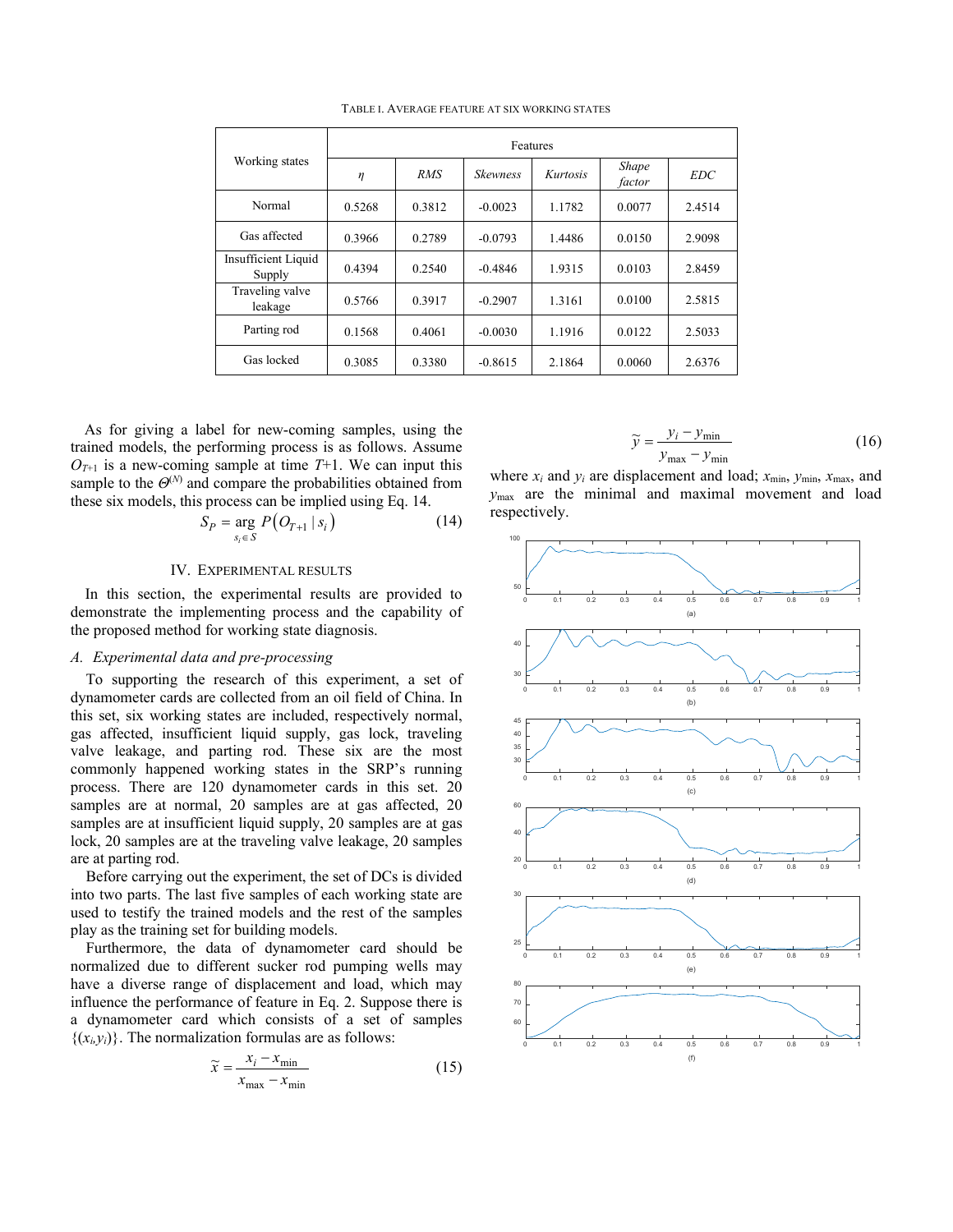|                               | Features |            |                 |          |                        |            |
|-------------------------------|----------|------------|-----------------|----------|------------------------|------------|
| Working states                | η        | <b>RMS</b> | <b>Skewness</b> | Kurtosis | <b>Shape</b><br>factor | <b>EDC</b> |
| Normal                        | 0.5268   | 0.3812     | $-0.0023$       | 1.1782   | 0.0077                 | 2.4514     |
| Gas affected                  | 0.3966   | 0.2789     | $-0.0793$       | 1.4486   | 0.0150                 | 2.9098     |
| Insufficient Liquid<br>Supply | 0.4394   | 0.2540     | $-0.4846$       | 1.9315   | 0.0103                 | 2.8459     |
| Traveling valve<br>leakage    | 0.5766   | 0.3917     | $-0.2907$       | 1.3161   | 0.0100                 | 2.5815     |
| Parting rod                   | 0.1568   | 0.4061     | $-0.0030$       | 1.1916   | 0.0122                 | 2.5033     |
| Gas locked                    | 0.3085   | 0.3380     | $-0.8615$       | 2.1864   | 0.0060                 | 2.6376     |

TABLE I. AVERAGE FEATURE AT SIX WORKING STATES

As for giving a label for new-coming samples, using the trained models, the performing process is as follows. Assume  $O_{T+1}$  is a new-coming sample at time  $T+1$ . We can input this sample to the  $\Theta^{(N)}$  and compare the probabilities obtained from these six models, this process can be implied using Eq. 14.

$$
S_P = \underset{s_i \in S}{\arg P(O_{T+1} \mid s_i)}
$$
 (14)

# IV. EXPERIMENTAL RESULTS

In this section, the experimental results are provided to demonstrate the implementing process and the capability of the proposed method for working state diagnosis.

# *A. Experimental data and pre-processing*

 To supporting the research of this experiment, a set of dynamometer cards are collected from an oil field of China. In this set, six working states are included, respectively normal, gas affected, insufficient liquid supply, gas lock, traveling valve leakage, and parting rod. These six are the most commonly happened working states in the SRP's running process. There are 120 dynamometer cards in this set. 20 samples are at normal, 20 samples are at gas affected, 20 samples are at insufficient liquid supply, 20 samples are at gas lock, 20 samples are at the traveling valve leakage, 20 samples are at parting rod.

 Before carrying out the experiment, the set of DCs is divided into two parts. The last five samples of each working state are used to testify the trained models and the rest of the samples play as the training set for building models.

 Furthermore, the data of dynamometer card should be normalized due to different sucker rod pumping wells may have a diverse range of displacement and load, which may influence the performance of feature in Eq. 2. Suppose there is a dynamometer card which consists of a set of samples  $\{(x_i, y_i)\}\.$  The normalization formulas are as follows:

$$
\widetilde{x} = \frac{x_i - x_{\min}}{x_{\max} - x_{\min}}\tag{15}
$$

$$
\widetilde{y} = \frac{y_i - y_{\min}}{y_{\max} - y_{\min}}\tag{16}
$$

where *xi* and *yi* are displacement and load; *x*min, *y*min, *x*max, and *y*max are the minimal and maximal movement and load respectively.

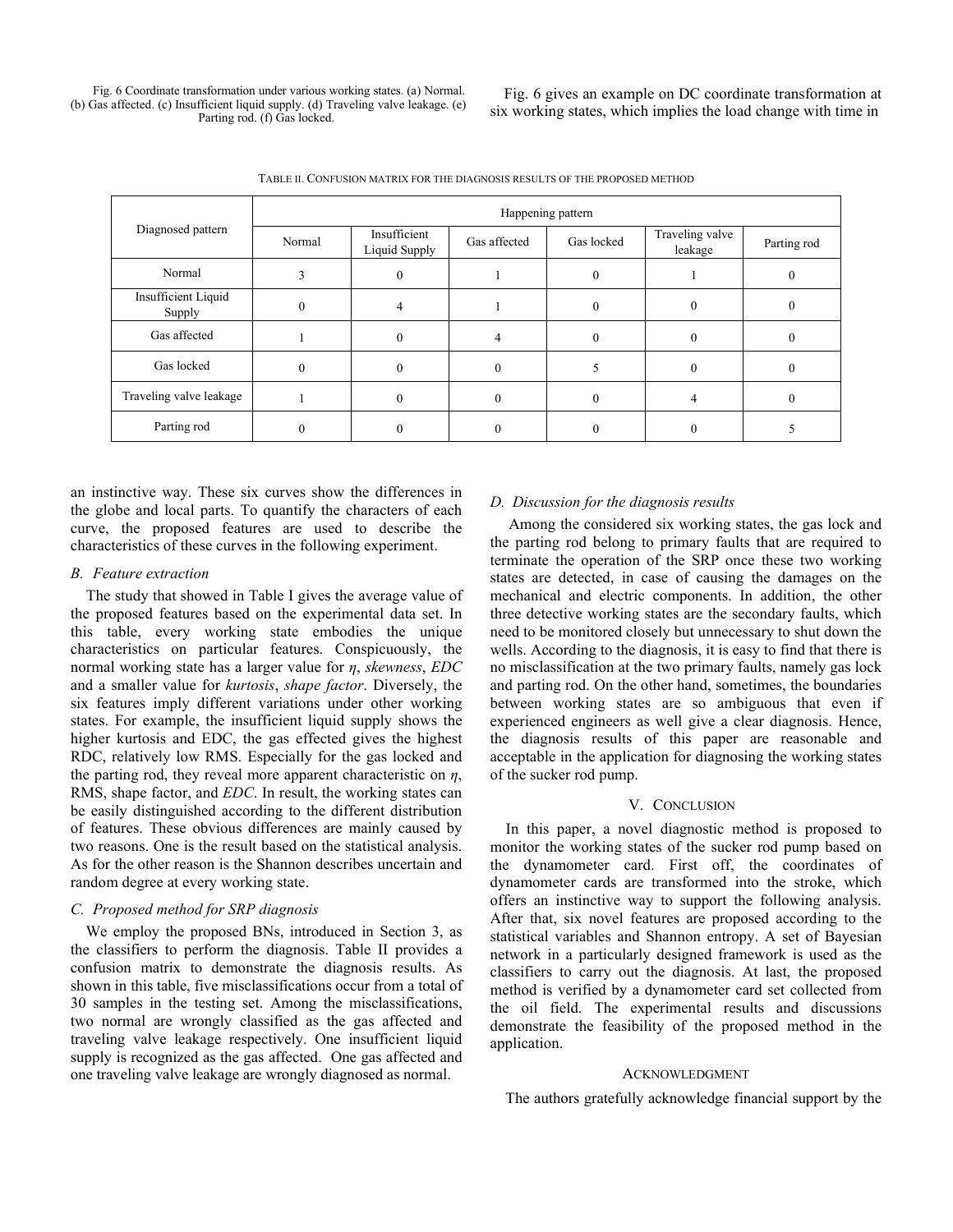Fig. 6 Coordinate transformation under various working states. (a) Normal. (b) Gas affected. (c) Insufficient liquid supply. (d) Traveling valve leakage. (e) Parting rod. (f) Gas locked.

Fig. 6 gives an example on DC coordinate transformation at six working states, which implies the load change with time in

TABLE II. CONFUSION MATRIX FOR THE DIAGNOSIS RESULTS OF THE PROPOSED METHOD

| Diagnosed pattern             | Happening pattern |                               |              |            |                            |             |  |
|-------------------------------|-------------------|-------------------------------|--------------|------------|----------------------------|-------------|--|
|                               | Normal            | Insufficient<br>Liquid Supply | Gas affected | Gas locked | Traveling valve<br>leakage | Parting rod |  |
| Normal                        |                   |                               |              |            |                            |             |  |
| Insufficient Liquid<br>Supply |                   |                               |              |            |                            |             |  |
| Gas affected                  |                   |                               |              |            |                            |             |  |
| Gas locked                    |                   |                               |              |            |                            |             |  |
| Traveling valve leakage       |                   |                               |              |            |                            |             |  |
| Parting rod                   |                   |                               |              |            |                            |             |  |

an instinctive way. These six curves show the differences in the globe and local parts. To quantify the characters of each curve, the proposed features are used to describe the characteristics of these curves in the following experiment.

## *B. Feature extraction*

 The study that showed in Table I gives the average value of the proposed features based on the experimental data set. In this table, every working state embodies the unique characteristics on particular features. Conspicuously, the normal working state has a larger value for *η*, *skewness*, *EDC* and a smaller value for *kurtosis*, *shape factor*. Diversely, the six features imply different variations under other working states. For example, the insufficient liquid supply shows the higher kurtosis and EDC, the gas effected gives the highest RDC, relatively low RMS. Especially for the gas locked and the parting rod, they reveal more apparent characteristic on *η*, RMS, shape factor, and *EDC*. In result, the working states can be easily distinguished according to the different distribution of features. These obvious differences are mainly caused by two reasons. One is the result based on the statistical analysis. As for the other reason is the Shannon describes uncertain and random degree at every working state.

## *C. Proposed method for SRP diagnosis*

 We employ the proposed BNs, introduced in Section 3, as the classifiers to perform the diagnosis. Table II provides a confusion matrix to demonstrate the diagnosis results. As shown in this table, five misclassifications occur from a total of 30 samples in the testing set. Among the misclassifications, two normal are wrongly classified as the gas affected and traveling valve leakage respectively. One insufficient liquid supply is recognized as the gas affected. One gas affected and one traveling valve leakage are wrongly diagnosed as normal.

# *D. Discussion for the diagnosis results*

 Among the considered six working states, the gas lock and the parting rod belong to primary faults that are required to terminate the operation of the SRP once these two working states are detected, in case of causing the damages on the mechanical and electric components. In addition, the other three detective working states are the secondary faults, which need to be monitored closely but unnecessary to shut down the wells. According to the diagnosis, it is easy to find that there is no misclassification at the two primary faults, namely gas lock and parting rod. On the other hand, sometimes, the boundaries between working states are so ambiguous that even if experienced engineers as well give a clear diagnosis. Hence, the diagnosis results of this paper are reasonable and acceptable in the application for diagnosing the working states of the sucker rod pump.

# V. CONCLUSION

 In this paper, a novel diagnostic method is proposed to monitor the working states of the sucker rod pump based on the dynamometer card. First off, the coordinates of dynamometer cards are transformed into the stroke, which offers an instinctive way to support the following analysis. After that, six novel features are proposed according to the statistical variables and Shannon entropy. A set of Bayesian network in a particularly designed framework is used as the classifiers to carry out the diagnosis. At last, the proposed method is verified by a dynamometer card set collected from the oil field. The experimental results and discussions demonstrate the feasibility of the proposed method in the application.

### ACKNOWLEDGMENT

The authors gratefully acknowledge financial support by the